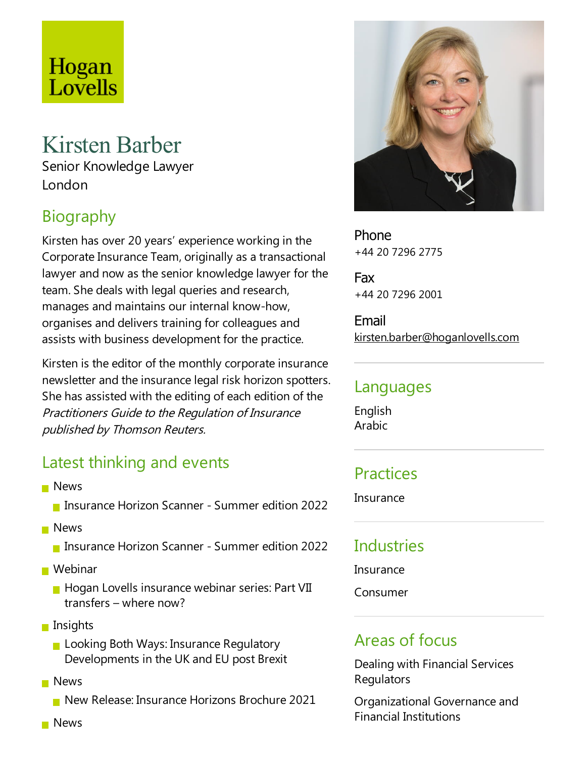# Hogan Lovells

## Kirsten Barber

Senior Knowledge Lawyer London

## **Biography**

Kirsten has over 20 years' experience working in the Corporate Insurance Team, originally as a transactional lawyer and now as the senior knowledge lawyer for the team. She deals with legal queries and research, manages and maintains our internal know-how, organises and delivers training for colleagues and assists with business development for the practice.

Kirsten is the editor of the monthly corporate insurance newsletter and the insurance legal risk horizon spotters. She has assisted with the editing of each edition of the Practitioners Guide to the Regulation of Insurance published by Thomson Reuters.

### Latest thinking and events

- **News** 
	- **Insurance Horizon Scanner Summer edition 2022**
- **News** 
	- **Insurance Horizon Scanner Summer edition 2022**
- **Webinar** 
	- $\blacksquare$  Hogan Lovells insurance webinar series: Part VII transfers – where now?
- $\blacksquare$  Insights
	- **Looking Both Ways: Insurance Regulatory** Developments in the UK and EU post Brexit
- **News** 
	- New Release: Insurance Horizons Brochure 2021



Phone +44 20 7296 2775

Fax +44 20 7296 2001

Email kirsten.barber@hoganlovells.com

#### Languages

English Arabic

### **Practices**

**Insurance** 

## **Industries**

Insurance

Consumer

### Areas of focus

Dealing with Financial Services **Regulators** 

Organizational Governance and Financial Institutions

**News**